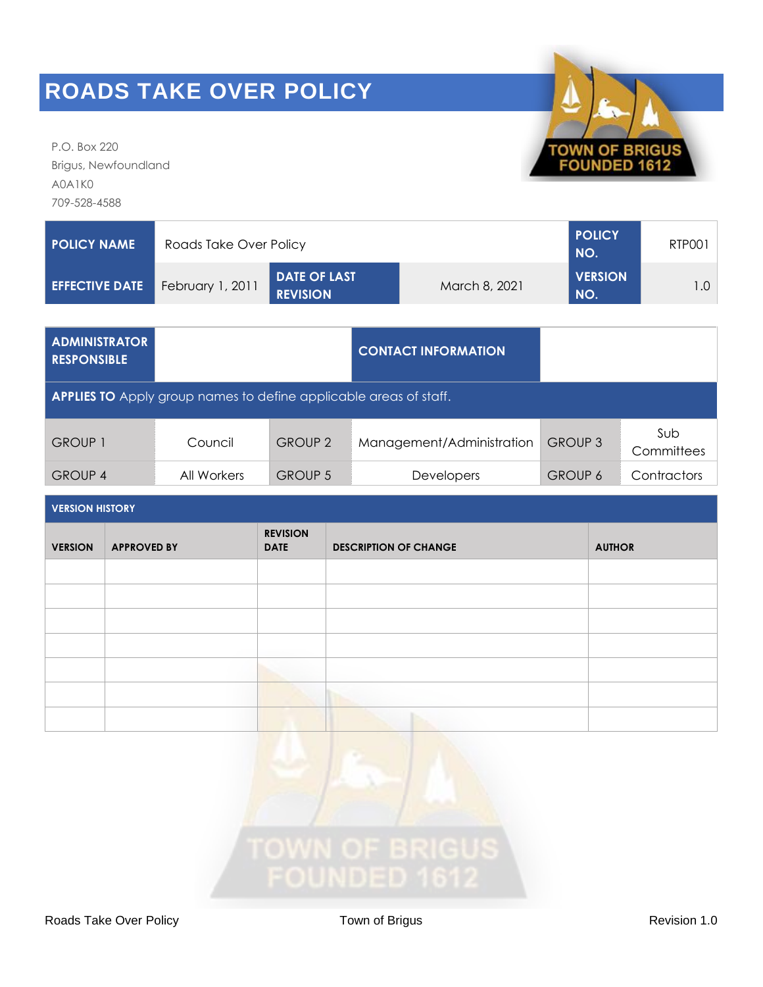P.O. Box 220 Brigus, Newfoundland A0A1K0 709-528-4588

| <b>POLICY NAME</b>    | Roads Take Over Policy | <b>POLICY</b><br>NO.                   | RTP001        |                       |  |
|-----------------------|------------------------|----------------------------------------|---------------|-----------------------|--|
| <b>EFFECTIVE DATE</b> | February 1, 2011       | <b>DATE OF LAST</b><br><b>REVISION</b> | March 8, 2021 | <b>VERSION</b><br>NO. |  |

| <b>ADMINISTRATOR</b><br><b>RESPONSIBLE</b> |                                                                          |                | <b>CONTACT INFORMATION</b> |                |                   |
|--------------------------------------------|--------------------------------------------------------------------------|----------------|----------------------------|----------------|-------------------|
|                                            | <b>APPLIES TO</b> Apply group names to define applicable areas of staff. |                |                            |                |                   |
| <b>GROUP 1</b>                             | Council                                                                  | <b>GROUP 2</b> | Management/Administration  | <b>GROUP 3</b> | Sub<br>Committees |
| <b>GROUP 4</b>                             | All Workers                                                              | <b>GROUP 5</b> | <b>Developers</b>          | <b>GROUP 6</b> | Contractors       |

| <b>VERSION HISTORY</b> |                    |                                |                              |               |
|------------------------|--------------------|--------------------------------|------------------------------|---------------|
| <b>VERSION</b>         | <b>APPROVED BY</b> | <b>REVISION</b><br><b>DATE</b> | <b>DESCRIPTION OF CHANGE</b> | <b>AUTHOR</b> |
|                        |                    |                                |                              |               |
|                        |                    |                                |                              |               |
|                        |                    |                                |                              |               |
|                        |                    |                                |                              |               |
|                        |                    |                                |                              |               |
|                        |                    |                                |                              |               |
|                        |                    |                                |                              |               |



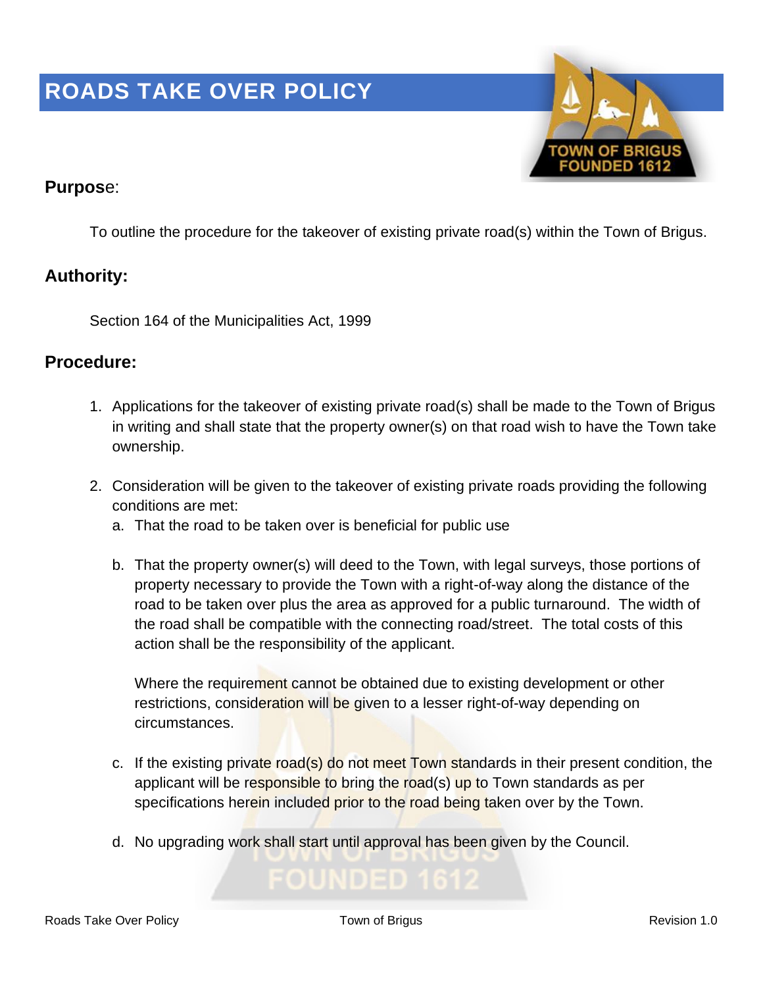

### **Purpos**e:

To outline the procedure for the takeover of existing private road(s) within the Town of Brigus.

### **Authority:**

Section 164 of the Municipalities Act, 1999

#### **Procedure:**

- 1. Applications for the takeover of existing private road(s) shall be made to the Town of Brigus in writing and shall state that the property owner(s) on that road wish to have the Town take ownership.
- 2. Consideration will be given to the takeover of existing private roads providing the following conditions are met:
	- a. That the road to be taken over is beneficial for public use
	- b. That the property owner(s) will deed to the Town, with legal surveys, those portions of property necessary to provide the Town with a right-of-way along the distance of the road to be taken over plus the area as approved for a public turnaround. The width of the road shall be compatible with the connecting road/street. The total costs of this action shall be the responsibility of the applicant.

Where the requirement cannot be obtained due to existing development or other restrictions, consideration will be given to a lesser right-of-way depending on circumstances.

- c. If the existing private road(s) do not meet Town standards in their present condition, the applicant will be responsible to bring the road(s) up to Town standards as per specifications herein included prior to the road being taken over by the Town.
- d. No upgrading work shall start until approval has been given by the Council.

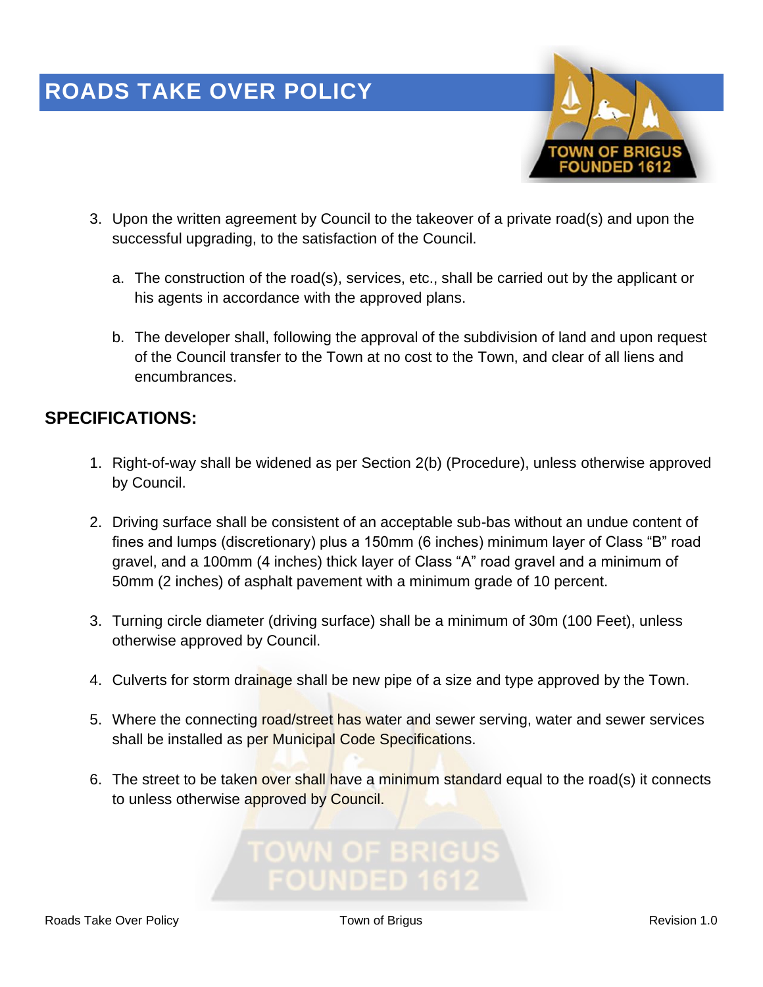

- 3. Upon the written agreement by Council to the takeover of a private road(s) and upon the successful upgrading, to the satisfaction of the Council.
	- a. The construction of the road(s), services, etc., shall be carried out by the applicant or his agents in accordance with the approved plans.
	- b. The developer shall, following the approval of the subdivision of land and upon request of the Council transfer to the Town at no cost to the Town, and clear of all liens and encumbrances.

### **SPECIFICATIONS:**

- 1. Right-of-way shall be widened as per Section 2(b) (Procedure), unless otherwise approved by Council.
- 2. Driving surface shall be consistent of an acceptable sub-bas without an undue content of fines and lumps (discretionary) plus a 150mm (6 inches) minimum layer of Class "B" road gravel, and a 100mm (4 inches) thick layer of Class "A" road gravel and a minimum of 50mm (2 inches) of asphalt pavement with a minimum grade of 10 percent.
- 3. Turning circle diameter (driving surface) shall be a minimum of 30m (100 Feet), unless otherwise approved by Council.
- 4. Culverts for storm drainage shall be new pipe of a size and type approved by the Town.
- 5. Where the connecting road/street has water and sewer serving, water and sewer services shall be installed as per Municipal Code Specifications.
- 6. The street to be taken over shall have a minimum standard equal to the road(s) it connects to unless otherwise approved by Council.